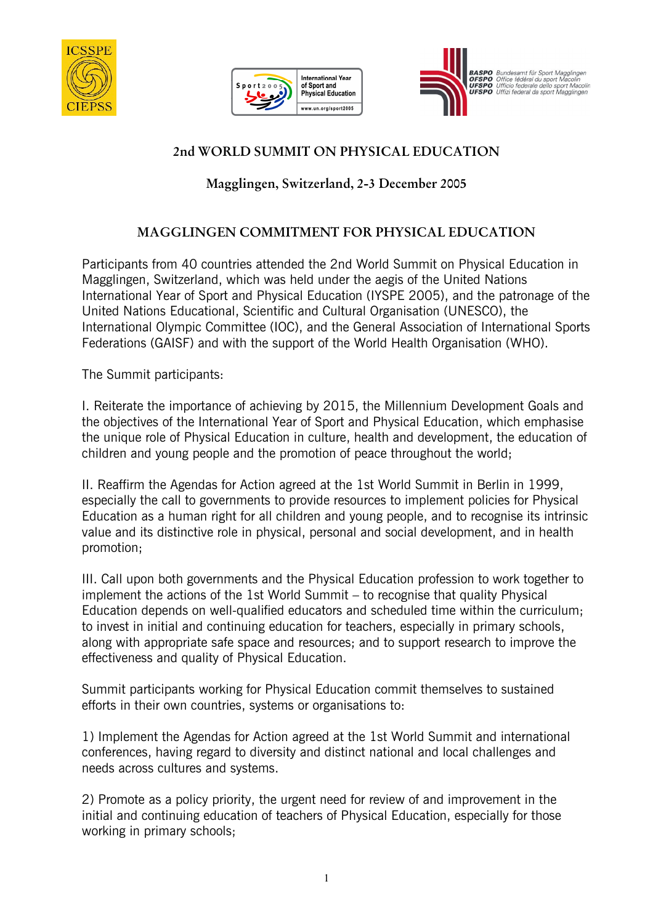





RASPO Bundesamt für Sport **BASPO** Bundesamt für Sport Mag<br>**OFSPO** Office fédérale dello sport<br>**UFSPO** Ufficio federale dello spor

## 2nd WORLD SUMMIT ON PHYSICAL EDUCATION

## Magglingen, Switzerland, 2-3 December 2005

## MAGGLINGEN COMMITMENT FOR PHYSICAL EDUCATION

Participants from 40 countries attended the 2nd World Summit on Physical Education in Magglingen, Switzerland, which was held under the aegis of the United Nations International Year of Sport and Physical Education (IYSPE 2005), and the patronage of the United Nations Educational, Scientific and Cultural Organisation (UNESCO), the International Olympic Committee (IOC), and the General Association of International Sports Federations (GAISF) and with the support of the World Health Organisation (WHO).

The Summit participants:

I. Reiterate the importance of achieving by 2015, the Millennium Development Goals and the objectives of the International Year of Sport and Physical Education, which emphasise the unique role of Physical Education in culture, health and development, the education of children and young people and the promotion of peace throughout the world;

II. Reaffirm the Agendas for Action agreed at the 1st World Summit in Berlin in 1999, especially the call to governments to provide resources to implement policies for Physical Education as a human right for all children and young people, and to recognise its intrinsic value and its distinctive role in physical, personal and social development, and in health promotion;

III. Call upon both governments and the Physical Education profession to work together to implement the actions of the 1st World Summit – to recognise that quality Physical Education depends on well-qualified educators and scheduled time within the curriculum; to invest in initial and continuing education for teachers, especially in primary schools, along with appropriate safe space and resources; and to support research to improve the effectiveness and quality of Physical Education.

Summit participants working for Physical Education commit themselves to sustained efforts in their own countries, systems or organisations to:

1) Implement the Agendas for Action agreed at the 1st World Summit and international conferences, having regard to diversity and distinct national and local challenges and needs across cultures and systems.

2) Promote as a policy priority, the urgent need for review of and improvement in the initial and continuing education of teachers of Physical Education, especially for those working in primary schools;